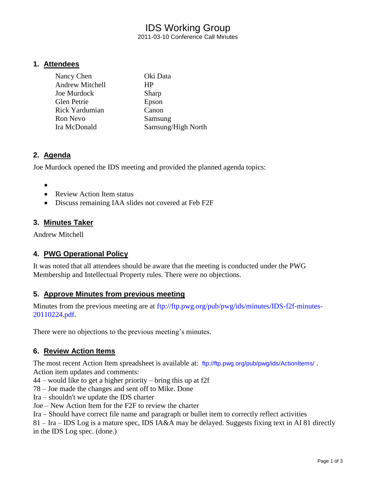# IDS Working Group 2011-03-10 Conference Call Minutes

## **1. Attendees**

| Nancy Chen             | Oki Data           |
|------------------------|--------------------|
| <b>Andrew Mitchell</b> | HP                 |
| Joe Murdock            | Sharp              |
| <b>Glen Petrie</b>     | Epson              |
| <b>Rick Yardumian</b>  | Canon              |
| Ron Nevo               | Samsung            |
| Ira McDonald           | Samsung/High North |

## **2. Agenda**

Joe Murdock opened the IDS meeting and provided the planned agenda topics:

- $\bullet$
- Review Action Item status
- Discuss remaining IAA slides not covered at Feb F2F

# **3. Minutes Taker**

Andrew Mitchell

# **4. PWG Operational Policy**

It was noted that all attendees should be aware that the meeting is conducted under the PWG Membership and Intellectual Property rules. There were no objections.

## **5. Approve Minutes from previous meeting**

Minutes from the previous meeting are at [ftp://ftp.pwg.org/pub/pwg/ids/minutes/IDS-f2f-minutes-](ftp://ftp.pwg.org/pub/pwg/ids/minutes/IDS-f2f-minutes-20110224.pdf)[20110224.pdf.](ftp://ftp.pwg.org/pub/pwg/ids/minutes/IDS-f2f-minutes-20110224.pdf)

There were no objections to the previous meeting's minutes.

# **6. Review Action Items**

The most recent Action Item spreadsheet is available at: <ftp://ftp.pwg.org/pub/pwg/ids/ActionItems/>. Action item updates and comments:

44 – would like to get a higher priority – bring this up at f2f

78 – Joe made the changes and sent off to Mike. Done

Ira – shouldn't we update the IDS charter

Joe – New Action Item for the F2F to review the charter

Ira – Should have correct file name and paragraph or bullet item to correctly reflect activities

81 – Ira – IDS Log is a mature spec, IDS IA&A may be delayed. Suggests fixing text in AI 81 directly in the IDS Log spec. (done.)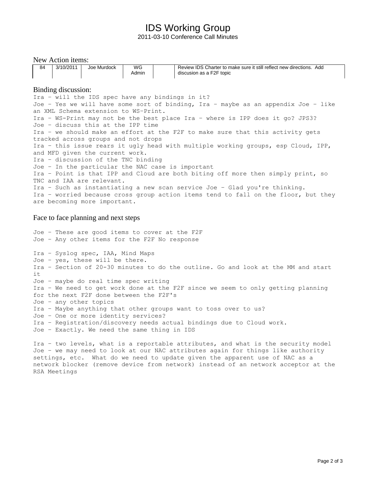# IDS Working Group

2011-03-10 Conference Call Minutes

New Action items: 84 3/10/2011 Joe Murdock WG Admin Review IDS Charter to make sure it still reflect new directions. Add discusion as a F2F topic Binding discussion: Ira – will the IDS spec have any bindings in it? Joe – Yes we will have some sort of binding, Ira – maybe as an appendix Joe – like an XML Schema extension to WS–Print. Ira – WS-Print may not be the best place Ira – where is IPP does it go? JPS3? Joe – discuss this at the IPP time Ira – we should make an effort at the F2F to make sure that this activity gets tracked across groups and not drops Ira – this issue rears it ugly head with multiple working groups, esp Cloud, IPP, and MFD given the current work. Ira – discussion of the TNC binding Joe – In the particular the NAC case is important Ira – Point is that IPP and Cloud are both biting off more then simply print, so TNC and IAA are relevant. Ira – Such as instantiating a new scan service Joe – Glad you're thinking. Ira – worried because cross group action items tend to fall on the floor, but they are becoming more important.

#### Face to face planning and next steps

Joe – These are good items to cover at the F2F Joe – Any other items for the F2F No response Ira – Syslog spec, IAA, Mind Maps Joe – yes, these will be there. Ira – Section of 20-30 minutes to do the outline. Go and look at the MM and start it Joe – maybe do real time spec writing Ira – We need to get work done at the F2F since we seem to only getting planning for the next F2F done between the F2F's Joe – any other topics Ira – Maybe anything that other groups want to toss over to us? Joe – One or more identity services? Ira – Registration/discovery needs actual bindings due to Cloud work. Joe – Exactly. We need the same thing in IDS

Ira – two levels, what is a reportable attributes, and what is the security model Joe – we may need to look at our NAC attributes again for things like authority settings, etc. What do we need to update given the apparent use of NAC as a network blocker (remove device from network) instead of an network acceptor at the RSA Meetings